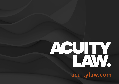# ACU IV

**acuitylaw.com**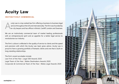## **Acuity Law**

#### **INSTINCTIVELY COMMERCIAL**

cuity Law is a top ranked law firm offering a business to business legal<br>service throughout the UK and internationally. The firm was founded by<br>ex-city lawyers and has offices in Bristol, Cardiff, London and Swansea. service throughout the UK and internationally. The firm was founded by ex-city lawyers and has offices in Bristol, Cardiff, London and Swansea.

We are an instinctively commercial team of market leading professionals with an entrepreneurial spirit and an appetite for a better legal service to revolutionise our industry.

The firm's culture is reflected in the quality of service to clients and the speed and precision with which the Acuity Law team gives advice. Acuity Law is proud to have a growing portfolio of fantastic clients and one that is built on long-standing relationships.

The firm's recent accolades include: Law Firm of the Year | Legal 500 Awards 2020 Legal Team of the Year | Wales Dealmakers Awards 2020 Corporate & Commercial Team of the Year | Wales Legal Awards 2020

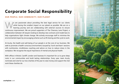## **Corporate Social Responsibility**

#### **OUR PEOPLE, OUR COMMUNITY, OUR PLANET**

e are passionate about providing the best legal service for our clients<br>while having the smallest impact on our planet as possible. We are on a<br>learning journey and are collaborating with external sources to ensure<br>continu while having the smallest impact on our planet as possible. We are on a learning journey and are collaborating with external sources to ensure continuous improvement. We are proud supporters of The Chancery Lane Project, a collaboration between UK lawyers looking to develop new contracts and model laws to help organisations fight climate change. We actively encourage staff to minimise the environmental impact by encouraging scheme such as lift sharing and the cycle to work.

At Acuity, the health and well-being of our people is at the core of our business. We seek to promote a health-conscious environment, buoyed by 'lunch and learn' sessions with nutritionists, mindfulness coaching and advice on how to reduce stress in the workplace. We recognise the equal importance of mental and physical health.

With offices in Bristol, Cardiff, London and Swansea it's important for us to grow deep roots in our communities and build lasting relationships. Every year, team Acuity nominate and vote for our two charities of the year to raise money and support the vital work these charities do.

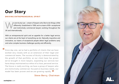## **Our Story**

#### **DRIVING ENTREPRENEURIAL SPIRIT**

e are Acuity Law - a team of lawyers who like to do things a little<br>differently. Established in 1999, we're a team of 80+ exceptional<br>and instinctively commercial lawyers working throughout the<br>LIK and internationally. differently. Established in 1999, we're a team of 80+ exceptional and instinctively commercial lawyers working throughout the UK and internationally.

With an entrepreneurial spirit and an appetite for a better legal service, our clients are at the heart of everything we do. Naturally inquisitive and innovative, our teams of exceptional people detect legal problems early and solve complex business challenges quickly and efficiently.

Since day one, we've had a portfolio of clients that we have worked very closely with as an extension of their legal and commercial teams. The success of Acuity is demonstrated by the growth of that portfolio, as our client base has grown we've brought in more lawyers, expanding our services but have always maintained our ethos of a close, personal service. The future is really exciting, we have a group of lawyers who are instinctively commercial, focused on business needs, our model has been proven and we are growing rapidly.  $\frac{99}{21}$ "

#### **Steve Berry, Chairman**

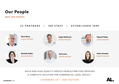## **Our People**

**MEET OUR EXPERTS**

### **22 PARTNERS | 100 STAFF | ESTABLISHED 1999**



**Steve Berry** [SENIOR PARTNER](https://acuitylaw.com/people/steve-berry/)



**[Hugh Hitchcock](https://acuitylaw.com/people/hugh-hitchcock/)** SENIOR PARTNER



**[Edward Finley](https://acuitylaw.com/people/edward-finley/)** SENIOR PARTNER



**[Rachelle Sellek](https://acuitylaw.com/people/rachelle-sellek/)** SENIOR PARTNER



**Paul Lowe** [SENIOR PARTNER](https://acuitylaw.com/people/paul-lowe/)



**[Claire Knowles](https://acuitylaw.com/people/claire-knowles/)** SENIOR PARTNER

"AGILE AND HIGH-QUALITY SERVICE FROM A FIRM THAT PROVIDES A COMPLETE SOLUTION FOR COMMERCIAL LEGAL ADVICE."

CHAMBERS UK— 2020 EDITION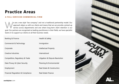## **Practice Areas**

#### **A FULL-SERVICED COMMERCIAL FIRM**

e are a new style "law company" and not a traditional partnership model. Our approach aligns us with our clients and means that we can provide a joined-up service across departments and one where long-term client retention approach aligns us with our clients and means that we can provide a joined-up service across departments and one where long-term client retention is our goal. Our partners are recognised as leading practitioners in their fields, we have specialist teams in to support our clients on all their business needs.

| <b>Banking &amp; Finance</b>                 | <b>Health &amp; Safety</b>                 |
|----------------------------------------------|--------------------------------------------|
| <b>Commercial &amp; Technology</b>           | Immigration                                |
| Corporate                                    | <b>Intellectual Property</b>               |
| <b>Creative Industries</b>                   | International                              |
| <b>Competition, Regulatory &amp; Trade</b>   | <b>Litigation &amp; Dispute Resolution</b> |
| Data Privacy & Cyber Security                | <b>Planning &amp; Environmental</b>        |
| Employment                                   | <b>Real Estate &amp; Construction</b>      |
| <b>Financial Regulation &amp; Compliance</b> | <b>Real Estate Finance</b>                 |

acuitylaw.com

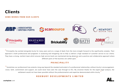## **Clients**

#### **SOME WORDS FROM OUR CLIENTS**



 $\lq\lq$  Principality has worked alongside Acuity for many years and on a range of deals from the more straight forward to the significantly complex. Their approach is both professional and pragmatic in assessing and mitigating risk to help us deliver a high standard of customer service to our clients. They have a strong, resilient team which ensures high service levels are maintained during absences and a positive and collaborative approach where different parts of the business are called upon.

#### **PRINCIPALITY**

" Sometimes our professional lives extend a long way beyond the standard and extent of a professional relationship; without Acuity's encouragement, vision, faith, commitment and support, we could never have seen the case through to this. My sincerest thanks for the expert legal analysis, the settlement would not have been possible without the professionalism and expertise demonstrated within Acuity.

#### **ROXBURY DEVELOPMENTS LIMITED**

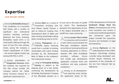## **Expertise**

#### **OUR RECENT WORK**

Instructing Brickability Group on<br>
the completion of a successful nstructing **Brickability Group** on AIM listing, with a number of significant new institutional investors including LionTrust, Blackrock and Soros investing. Brickability raised £57m in its initial public offering through the issue of over 87m new ordinary shares, giving the company a market capitalization of £150m – the second highest market cap among AIM IPOs in 2019.

Advising shareholders of **Kingswood Insurance** when the company was acquired by The Plan Group Limited, the company behind the Yellow Jersey Insurance marque for a significant undisclosed sum.

Development Bank of Wales and Cardiff into a new community. other existing shareholders taking Delio's fundraising total to £3.3m.

Advising **Phytoponics** on a £500,000 equity financing round from a number of existing shareholders with match funding provided by the Development Bank of Wales as the company's first institutional investor.

Acting for **Principality Building Society** in relation to the drawing down of a new facility, continuing the development by Ely Bridge Development Company of the affordable element on a

dvising **Delio** on a round of 53 acre site to the west of Cardiff<br>investment including £2m city centre. This development from Maven Capital Partners a represents the regeneration of one well as follow-on funding from of the largest brownfield sites in dvising Delio on a round of 53 acre site to the west of Cardiff

> Advising **Jurassic Fibre Limited**  in connection with its build of a multi-million pound ultrafast full fibre-optic broadband network across Devon, Somerset and Dorset including applications to OfCom, disputes with other broadband providers, software licence and mobile app development agreement, customer terms and conditions and data protection compliance.

dvising on all development and planning issues during the application phase of the

£150m development of the former **Southwark Bridge Road Fire Station**, encompassing one of the most innovative new schools in London plus residential apartments and commercial space. The project included the acquisition, structure and facilitation of legal documentation.

Advising **Rightacres** on the redevelopment of the £100m Transport Interchange building currently being developed near Central Square following the acquisition of the remainder of the site from Network Rail by Rightacres.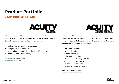## **Product Portfolio**

#### **ACUITY MEMBERSHIP SERVICES**



We offer a suite of HR and commercial training modules which can be provided to your management team. We can deliver these in person or through electronic means and cover areas such as:

- Motivating and incentivising employees
- Best practice in the workplace
- Negotiating and structuring technology (IT) contracts
- Protecting intellectual property

For more information visit: **acuity-academy.com**

Acuity Counsel Service is an innovative outsourced service providing day-to-day commercial legal support designed around your needs, giving you accelerated access to a select team of lawyers that know your business and understand your needs.

**ACUITY** 

**COUNSEL SERVICE.** 

- Legal Subscription Solution
- No Long Term Tie-In
- Blended Hourly Rate
- Roll Over Unused Hours
- Credits For Other Acuity Products
- Access To 17 Practice Areas
- Intuitive ACS Client Portal
- Bespoke ACS Knowledge Bank

For more information visit: **acuitycounselservice.com**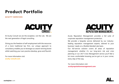## **Product Portfolio**

#### **ACUITY SERVICES**



At Acuity Consult we are the exception, not the rule. We are the next generation of legal consulting.

Giving you the freedom of self-employment with the resources of a more traditional law firm, our unique approach to consultancy enables you to leverage our award-winning brand whilst watching your own practice develop, grow and flourish.

For more information visit: **acuity-consult.com**



Acuity Reputation Management provides a full suite of corporate reputation management protection.

We provide a bespoke service delivered by our industryleading reputation management experts, tailored to your business' needs on a flexible blended rate basis.

Our full-service solution covers all areas of reputation management, whether it's our long-term risk and crisis planning or our 24/7 Crisis Management service you'll feel a lot more comfortable knowing you've got us in your corner, every step of the way.

For more information visit: **acuityreputationmanagement.com**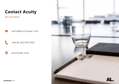

### **Contact Acuity**

**GET IN TOUCH**

hello@acuitylaw.com  $\boxtimes$ 

+44 (0) 333 016 3553

acuitylaw.com

⊕